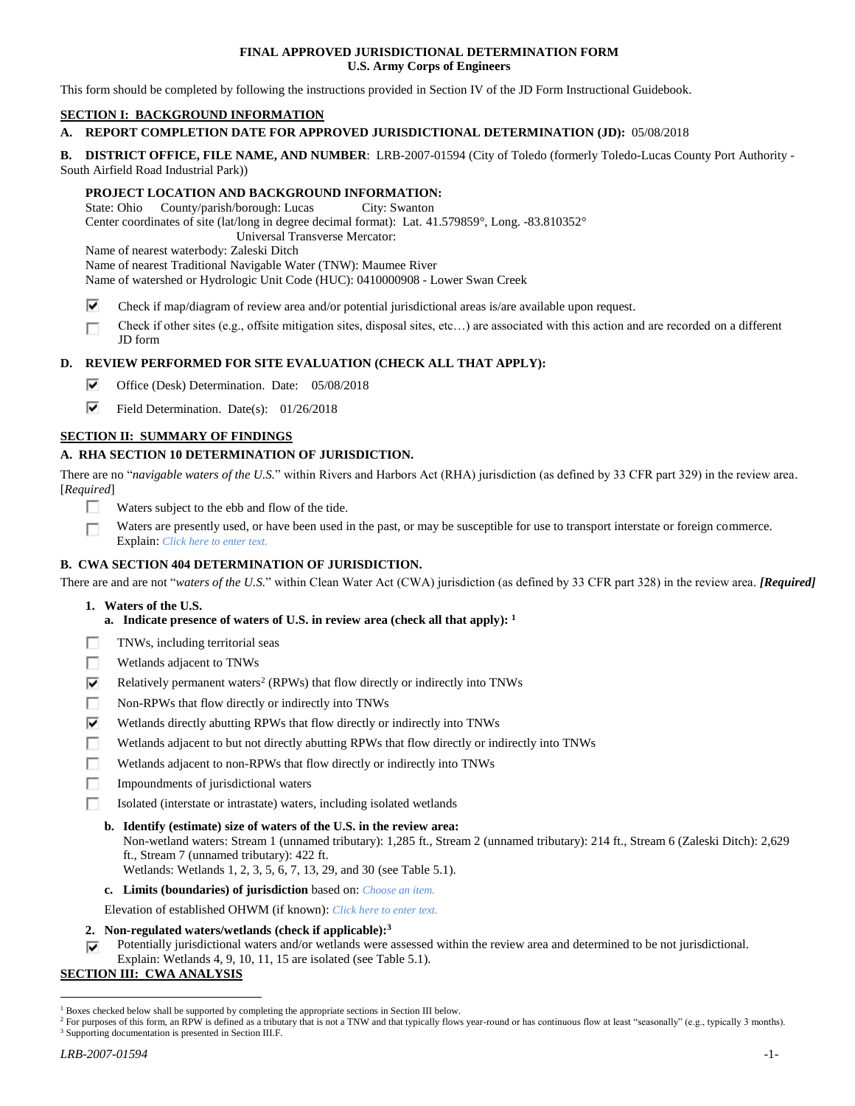## **FINAL APPROVED JURISDICTIONAL DETERMINATION FORM U.S. Army Corps of Engineers**

This form should be completed by following the instructions provided in Section IV of the JD Form Instructional Guidebook.

# **SECTION I: BACKGROUND INFORMATION**

# **A. REPORT COMPLETION DATE FOR APPROVED JURISDICTIONAL DETERMINATION (JD):** 05/08/2018

**B. DISTRICT OFFICE, FILE NAME, AND NUMBER**: LRB-2007-01594 (City of Toledo (formerly Toledo-Lucas County Port Authority - South Airfield Road Industrial Park))

## **PROJECT LOCATION AND BACKGROUND INFORMATION:**

State: Ohio County/parish/borough: Lucas City: Swanton

Center coordinates of site (lat/long in degree decimal format): Lat. 41.579859°, Long. -83.810352°

Universal Transverse Mercator:

Name of nearest waterbody: Zaleski Ditch

Name of nearest Traditional Navigable Water (TNW): Maumee River

Name of watershed or Hydrologic Unit Code (HUC): 0410000908 - Lower Swan Creek

- ⊽ Check if map/diagram of review area and/or potential jurisdictional areas is/are available upon request.
- Check if other sites (e.g., offsite mitigation sites, disposal sites, etc…) are associated with this action and are recorded on a different п JD form

# **D. REVIEW PERFORMED FOR SITE EVALUATION (CHECK ALL THAT APPLY):**

- ⊽ Office (Desk) Determination. Date: 05/08/2018
- ⊽. Field Determination. Date(s): 01/26/2018

# **SECTION II: SUMMARY OF FINDINGS**

## **A. RHA SECTION 10 DETERMINATION OF JURISDICTION.**

There are no "*navigable waters of the U.S.*" within Rivers and Harbors Act (RHA) jurisdiction (as defined by 33 CFR part 329) in the review area. [*Required*]

- П Waters subject to the ebb and flow of the tide.
- Waters are presently used, or have been used in the past, or may be susceptible for use to transport interstate or foreign commerce. П Explain: *Click here to enter text.*

# **B. CWA SECTION 404 DETERMINATION OF JURISDICTION.**

There are and are not "*waters of the U.S.*" within Clean Water Act (CWA) jurisdiction (as defined by 33 CFR part 328) in the review area. *[Required]*

- **1. Waters of the U.S.**
	- **a. Indicate presence of waters of U.S. in review area (check all that apply): 1**
- г TNWs, including territorial seas
- П Wetlands adjacent to TNWs
- ⊽ Relatively permanent waters<sup>2</sup> (RPWs) that flow directly or indirectly into TNWs
- п Non-RPWs that flow directly or indirectly into TNWs
- ⊽ Wetlands directly abutting RPWs that flow directly or indirectly into TNWs
- г Wetlands adjacent to but not directly abutting RPWs that flow directly or indirectly into TNWs
- Wetlands adjacent to non-RPWs that flow directly or indirectly into TNWs п
- п Impoundments of jurisdictional waters
- г Isolated (interstate or intrastate) waters, including isolated wetlands
	- **b. Identify (estimate) size of waters of the U.S. in the review area:** Non-wetland waters: Stream 1 (unnamed tributary): 1,285 ft., Stream 2 (unnamed tributary): 214 ft., Stream 6 (Zaleski Ditch): 2,629 ft., Stream 7 (unnamed tributary): 422 ft.
		- Wetlands: Wetlands 1, 2, 3, 5, 6, 7, 13, 29, and 30 (see Table 5.1).
	- **c. Limits (boundaries) of jurisdiction** based on: *Choose an item.*

Elevation of established OHWM (if known): *Click here to enter text.*

- **2. Non-regulated waters/wetlands (check if applicable): 3**
- Potentially jurisdictional waters and/or wetlands were assessed within the review area and determined to be not jurisdictional. ⊽ Explain: Wetlands 4, 9, 10, 11, 15 are isolated (see Table 5.1).

# **SECTION III: CWA ANALYSIS**

 $\overline{a}$  $1$  Boxes checked below shall be supported by completing the appropriate sections in Section III below.

<sup>&</sup>lt;sup>2</sup> For purposes of this form, an RPW is defined as a tributary that is not a TNW and that typically flows year-round or has continuous flow at least "seasonally" (e.g., typically 3 months). <sup>3</sup> Supporting documentation is presented in Section III.F.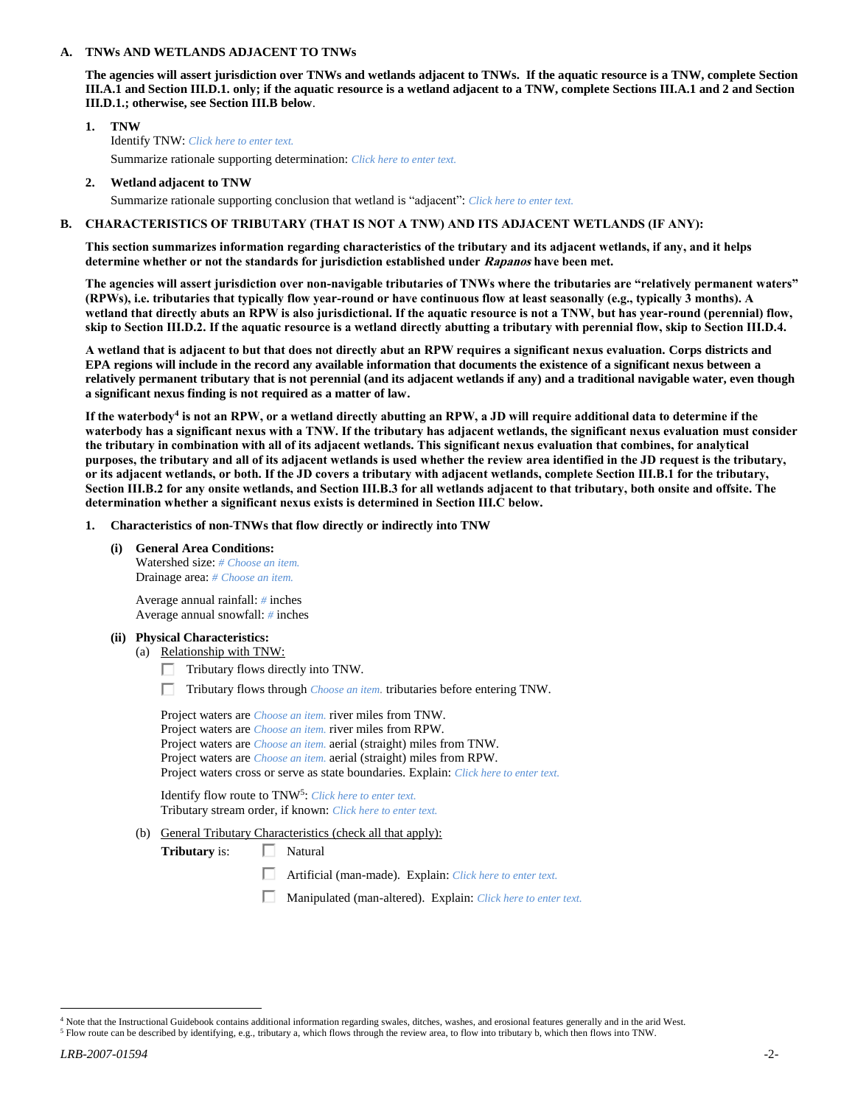### **A. TNWs AND WETLANDS ADJACENT TO TNWs**

**The agencies will assert jurisdiction over TNWs and wetlands adjacent to TNWs. If the aquatic resource is a TNW, complete Section III.A.1 and Section III.D.1. only; if the aquatic resource is a wetland adjacent to a TNW, complete Sections III.A.1 and 2 and Section III.D.1.; otherwise, see Section III.B below**.

- **1. TNW**  Identify TNW: *Click here to enter text.* Summarize rationale supporting determination: *Click here to enter text.*
- **2. Wetland adjacent to TNW**

Summarize rationale supporting conclusion that wetland is "adjacent": *Click here to enter text.*

## **B. CHARACTERISTICS OF TRIBUTARY (THAT IS NOT A TNW) AND ITS ADJACENT WETLANDS (IF ANY):**

**This section summarizes information regarding characteristics of the tributary and its adjacent wetlands, if any, and it helps determine whether or not the standards for jurisdiction established under Rapanos have been met.** 

**The agencies will assert jurisdiction over non-navigable tributaries of TNWs where the tributaries are "relatively permanent waters" (RPWs), i.e. tributaries that typically flow year-round or have continuous flow at least seasonally (e.g., typically 3 months). A wetland that directly abuts an RPW is also jurisdictional. If the aquatic resource is not a TNW, but has year-round (perennial) flow, skip to Section III.D.2. If the aquatic resource is a wetland directly abutting a tributary with perennial flow, skip to Section III.D.4.**

**A wetland that is adjacent to but that does not directly abut an RPW requires a significant nexus evaluation. Corps districts and EPA regions will include in the record any available information that documents the existence of a significant nexus between a relatively permanent tributary that is not perennial (and its adjacent wetlands if any) and a traditional navigable water, even though a significant nexus finding is not required as a matter of law.**

**If the waterbody<sup>4</sup> is not an RPW, or a wetland directly abutting an RPW, a JD will require additional data to determine if the waterbody has a significant nexus with a TNW. If the tributary has adjacent wetlands, the significant nexus evaluation must consider the tributary in combination with all of its adjacent wetlands. This significant nexus evaluation that combines, for analytical purposes, the tributary and all of its adjacent wetlands is used whether the review area identified in the JD request is the tributary, or its adjacent wetlands, or both. If the JD covers a tributary with adjacent wetlands, complete Section III.B.1 for the tributary, Section III.B.2 for any onsite wetlands, and Section III.B.3 for all wetlands adjacent to that tributary, both onsite and offsite. The determination whether a significant nexus exists is determined in Section III.C below.**

- **1. Characteristics of non-TNWs that flow directly or indirectly into TNW**
	- **(i) General Area Conditions:** Watershed size: *# Choose an item.* Drainage area: *# Choose an item.*

Average annual rainfall: *#* inches Average annual snowfall: *#* inches

- **(ii) Physical Characteristics:**
	- (a) Relationship with TNW:
		- $\Box$  Tributary flows directly into TNW.
		- Tributary flows through *Choose an item.* tributaries before entering TNW.

| Project waters are <i>Choose an item</i> , river miles from TNW.                      |
|---------------------------------------------------------------------------------------|
| Project waters are <i>Choose an item</i> . river miles from RPW.                      |
| Project waters are <i>Choose an item.</i> aerial (straight) miles from TNW.           |
| Project waters are <i>Choose an item.</i> aerial (straight) miles from RPW.           |
| Project waters cross or serve as state boundaries. Explain: Click here to enter text. |

Identify flow route to TNW<sup>5</sup>: *Click here to enter text.* Tributary stream order, if known: *Click here to enter text.*

(b) General Tributary Characteristics (check all that apply):

**Tributary** is:  $\Box$  Natural

- Artificial (man-made). Explain: *Click here to enter text.*
- Manipulated (man-altered). Explain: *Click here to enter text.*

 $\overline{a}$ 

 $4$  Note that the Instructional Guidebook contains additional information regarding swales, ditches, washes, and erosional features generally and in the arid West.

<sup>5</sup> Flow route can be described by identifying, e.g., tributary a, which flows through the review area, to flow into tributary b, which then flows into TNW.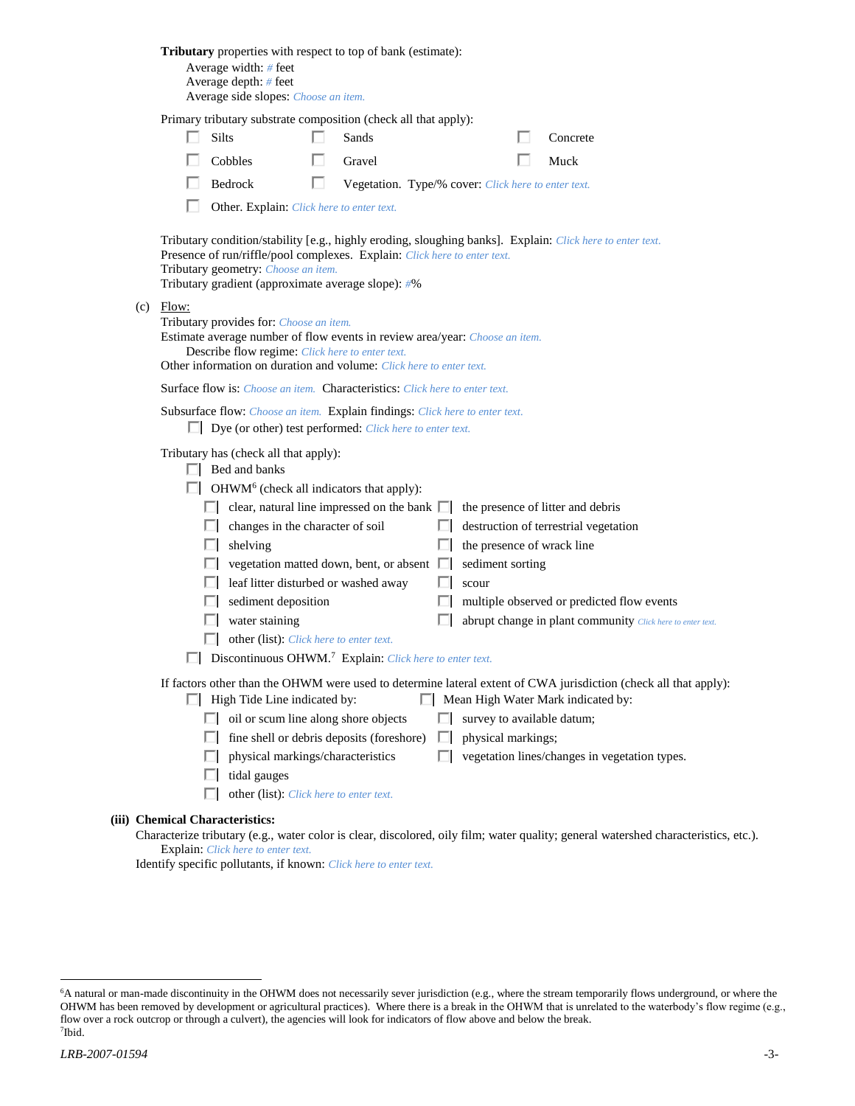|                                                                                                                                                                                                                                                                                     |  | <b>Tributary</b> properties with respect to top of bank (estimate):<br>Average width: # feet<br>Average depth: $#$ feet<br>Average side slopes: Choose an item.                                                                                                                                                                                                                                                                                                                                                |   |                                                     |                   |  |                                                         |  |                                                                                                                                                                                                         |  |
|-------------------------------------------------------------------------------------------------------------------------------------------------------------------------------------------------------------------------------------------------------------------------------------|--|----------------------------------------------------------------------------------------------------------------------------------------------------------------------------------------------------------------------------------------------------------------------------------------------------------------------------------------------------------------------------------------------------------------------------------------------------------------------------------------------------------------|---|-----------------------------------------------------|-------------------|--|---------------------------------------------------------|--|---------------------------------------------------------------------------------------------------------------------------------------------------------------------------------------------------------|--|
|                                                                                                                                                                                                                                                                                     |  | Primary tributary substrate composition (check all that apply):                                                                                                                                                                                                                                                                                                                                                                                                                                                |   |                                                     |                   |  |                                                         |  |                                                                                                                                                                                                         |  |
|                                                                                                                                                                                                                                                                                     |  | <b>Silts</b>                                                                                                                                                                                                                                                                                                                                                                                                                                                                                                   |   | Sands                                               |                   |  |                                                         |  | Concrete                                                                                                                                                                                                |  |
|                                                                                                                                                                                                                                                                                     |  | Cobbles                                                                                                                                                                                                                                                                                                                                                                                                                                                                                                        |   | Gravel                                              |                   |  |                                                         |  | Muck                                                                                                                                                                                                    |  |
|                                                                                                                                                                                                                                                                                     |  | Bedrock                                                                                                                                                                                                                                                                                                                                                                                                                                                                                                        | п | Vegetation. Type/% cover: Click here to enter text. |                   |  |                                                         |  |                                                                                                                                                                                                         |  |
|                                                                                                                                                                                                                                                                                     |  | Other. Explain: Click here to enter text.                                                                                                                                                                                                                                                                                                                                                                                                                                                                      |   |                                                     |                   |  |                                                         |  |                                                                                                                                                                                                         |  |
| Tributary condition/stability [e.g., highly eroding, sloughing banks]. Explain: Click here to enter text.<br>Presence of run/riffle/pool complexes. Explain: Click here to enter text.<br>Tributary geometry: Choose an item.<br>Tributary gradient (approximate average slope): #% |  |                                                                                                                                                                                                                                                                                                                                                                                                                                                                                                                |   |                                                     |                   |  |                                                         |  |                                                                                                                                                                                                         |  |
| $(c)$ Flow:<br>Tributary provides for: Choose an item.<br>Estimate average number of flow events in review area/year: Choose an item.<br>Describe flow regime: Click here to enter text.<br>Other information on duration and volume: Click here to enter text.                     |  |                                                                                                                                                                                                                                                                                                                                                                                                                                                                                                                |   |                                                     |                   |  |                                                         |  |                                                                                                                                                                                                         |  |
|                                                                                                                                                                                                                                                                                     |  | <b>Surface flow is:</b> <i>Choose an item.</i> <b>Characteristics:</b> <i>Click here to enter text.</i>                                                                                                                                                                                                                                                                                                                                                                                                        |   |                                                     |                   |  |                                                         |  |                                                                                                                                                                                                         |  |
|                                                                                                                                                                                                                                                                                     |  | Subsurface flow: Choose an item. Explain findings: Click here to enter text.<br>$\Box$ Dye (or other) test performed: <i>Click here to enter text.</i>                                                                                                                                                                                                                                                                                                                                                         |   |                                                     |                   |  |                                                         |  |                                                                                                                                                                                                         |  |
|                                                                                                                                                                                                                                                                                     |  | Tributary has (check all that apply):<br>$\Box$ Bed and banks<br>$\Box$ OHWM <sup>6</sup> (check all indicators that apply):<br>$\Box$ clear, natural line impressed on the bank $\Box$<br>changes in the character of soil<br>shelving<br>U.<br>$\Box$ vegetation matted down, bent, or absent $\Box$<br>leaf litter disturbed or washed away<br>sediment deposition<br>water staining<br>ш<br>other (list): Click here to enter text.<br>Discontinuous OHWM. <sup>7</sup> Explain: Click here to enter text. |   |                                                     | L.<br>ш<br>ш<br>п |  | the presence of wrack line<br>sediment sorting<br>scour |  | the presence of litter and debris<br>destruction of terrestrial vegetation<br>multiple observed or predicted flow events<br>abrupt change in plant community Click here to enter text.                  |  |
|                                                                                                                                                                                                                                                                                     |  | $\Box$ High Tide Line indicated by:<br>$\Box$ oil or scum line along shore objects<br>fine shell or debris deposits (foreshore)<br>ш<br>physical markings/characteristics<br>tidal gauges<br>other (list): Click here to enter text.                                                                                                                                                                                                                                                                           |   |                                                     | ш<br>п            |  | survey to available datum;<br>physical markings;        |  | If factors other than the OHWM were used to determine lateral extent of CWA jurisdiction (check all that apply):<br>Mean High Water Mark indicated by:<br>vegetation lines/changes in vegetation types. |  |
|                                                                                                                                                                                                                                                                                     |  | (iii) Chemical Characteristics:                                                                                                                                                                                                                                                                                                                                                                                                                                                                                |   |                                                     |                   |  |                                                         |  |                                                                                                                                                                                                         |  |
|                                                                                                                                                                                                                                                                                     |  | Explain: Click here to enter text.                                                                                                                                                                                                                                                                                                                                                                                                                                                                             |   |                                                     |                   |  |                                                         |  | Characterize tributary (e.g., water color is clear, discolored, oily film; water quality; general watershed characteristics, etc.).                                                                     |  |

Identify specific pollutants, if known: *Click here to enter text.*

 $\overline{a}$ 

<sup>6</sup>A natural or man-made discontinuity in the OHWM does not necessarily sever jurisdiction (e.g., where the stream temporarily flows underground, or where the OHWM has been removed by development or agricultural practices). Where there is a break in the OHWM that is unrelated to the waterbody's flow regime (e.g., flow over a rock outcrop or through a culvert), the agencies will look for indicators of flow above and below the break. 7 Ibid.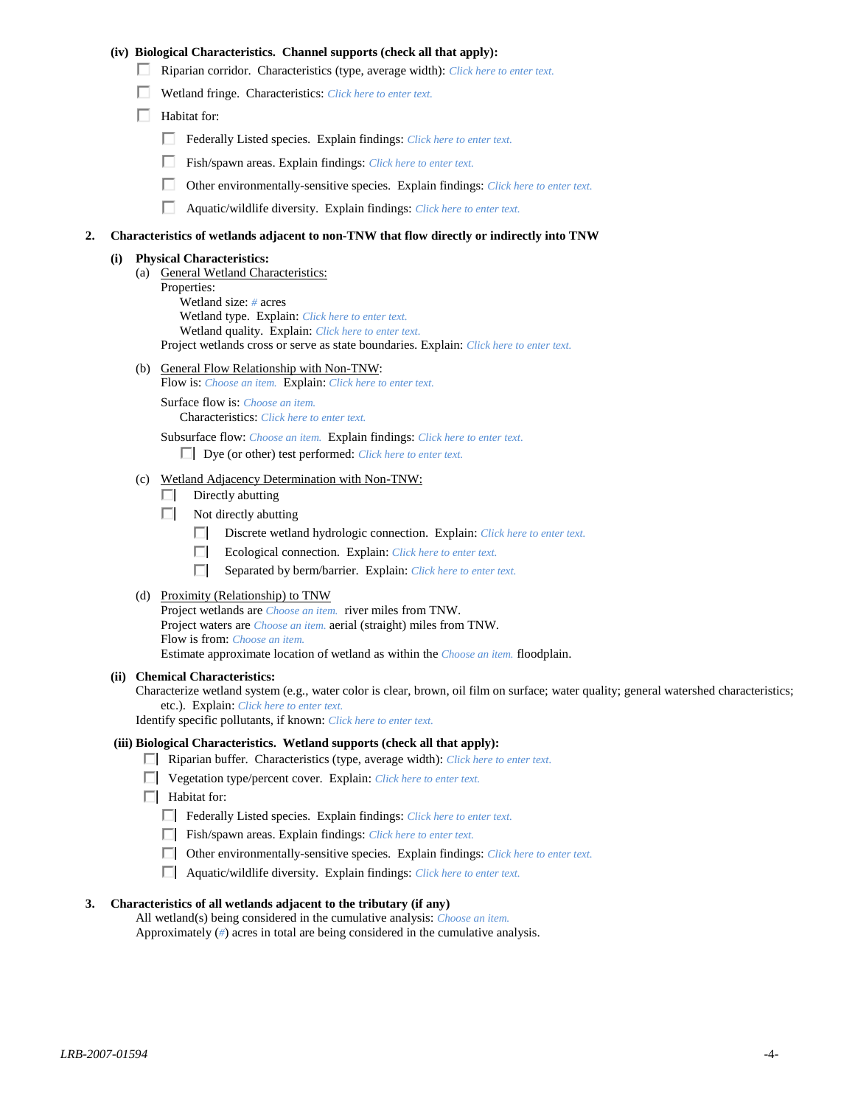## **(iv) Biological Characteristics. Channel supports (check all that apply):**

- Riparian corridor. Characteristics (type, average width): *Click here to enter text.*
- Wetland fringe. Characteristics: *Click here to enter text.*
- $\Box$  Habitat for:
	- Federally Listed species. Explain findings: *Click here to enter text.*
	- Fish/spawn areas. Explain findings: *Click here to enter text.*
	- п. Other environmentally-sensitive species. Explain findings: *Click here to enter text.*
	- Aquatic/wildlife diversity. Explain findings: *Click here to enter text.*

#### **2. Characteristics of wetlands adjacent to non-TNW that flow directly or indirectly into TNW**

#### **(i) Physical Characteristics:**

- (a) General Wetland Characteristics:
	- Properties:

Wetland size: *#* acres Wetland type. Explain: *Click here to enter text.*

Wetland quality. Explain: *Click here to enter text.*

Project wetlands cross or serve as state boundaries. Explain: *Click here to enter text.*

(b) General Flow Relationship with Non-TNW: Flow is: *Choose an item.* Explain: *Click here to enter text.*

Surface flow is: *Choose an item.* Characteristics: *Click here to enter text.*

Subsurface flow: *Choose an item.* Explain findings: *Click here to enter text.*

Dye (or other) test performed: *Click here to enter text.*

#### (c) Wetland Adjacency Determination with Non-TNW:

- $\Box$  Directly abutting
- Not directly abutting
	- Discrete wetland hydrologic connection. Explain: *Click here to enter text.*
	- $\Box$ Ecological connection. Explain: *Click here to enter text.*
	- $\Box$ Separated by berm/barrier. Explain: *Click here to enter text.*
- (d) Proximity (Relationship) to TNW

Project wetlands are *Choose an item.* river miles from TNW. Project waters are *Choose an item.* aerial (straight) miles from TNW. Flow is from: *Choose an item.* Estimate approximate location of wetland as within the *Choose an item.* floodplain.

#### **(ii) Chemical Characteristics:**

Characterize wetland system (e.g., water color is clear, brown, oil film on surface; water quality; general watershed characteristics; etc.). Explain: *Click here to enter text.*

Identify specific pollutants, if known: *Click here to enter text.*

## **(iii) Biological Characteristics. Wetland supports (check all that apply):**

- Riparian buffer. Characteristics (type, average width): *Click here to enter text.*
- Vegetation type/percent cover. Explain: *Click here to enter text.*
- $\Box$  Habitat for:
	- Federally Listed species. Explain findings: *Click here to enter text*.
	- Fish/spawn areas. Explain findings: *Click here to enter text*.
	- Other environmentally-sensitive species. Explain findings: *Click here to enter text.*
	- Aquatic/wildlife diversity. Explain findings: *Click here to enter text.*

#### **3. Characteristics of all wetlands adjacent to the tributary (if any)**

All wetland(s) being considered in the cumulative analysis: *Choose an item.* Approximately (*#*) acres in total are being considered in the cumulative analysis.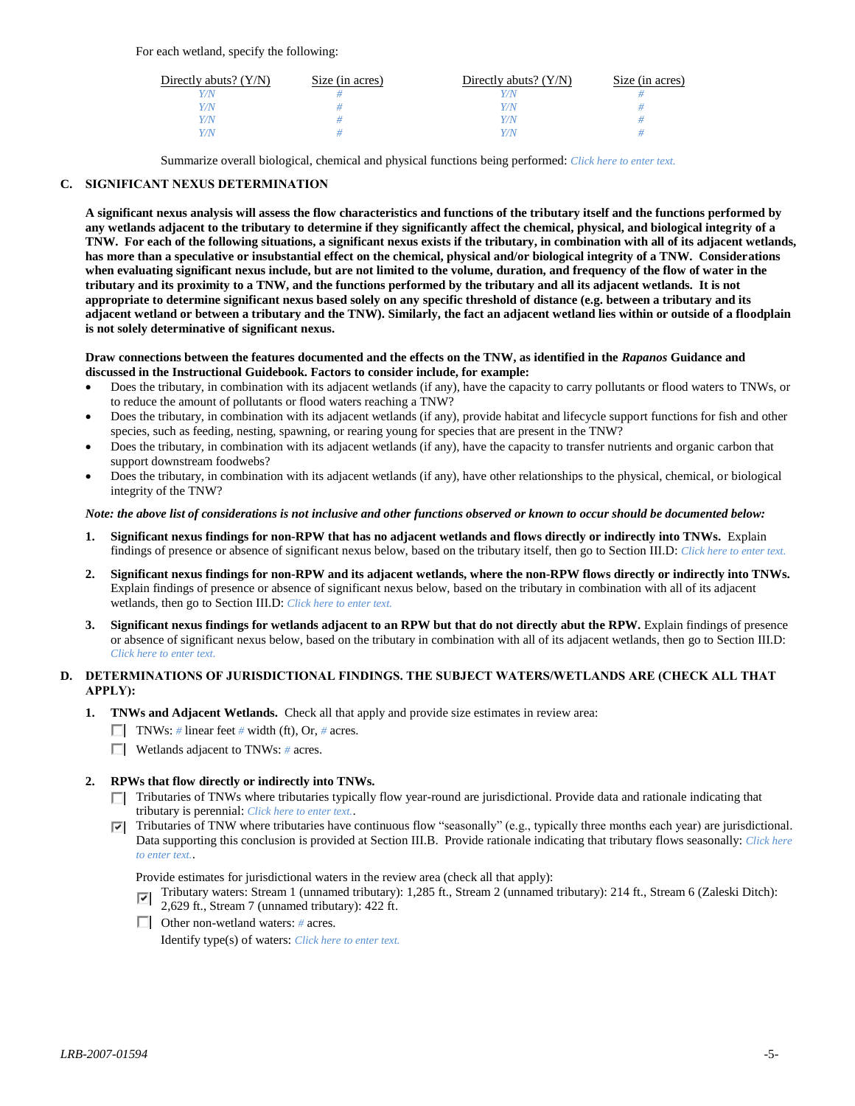For each wetland, specify the following:

| Directly abuts? $(Y/N)$ | Size (in acres) | Directly abuts? $(Y/N)$ | Size (in acres) |
|-------------------------|-----------------|-------------------------|-----------------|
|                         |                 |                         |                 |
| V/N                     |                 | V/N                     |                 |
| V/N                     |                 | Y/N                     |                 |
|                         |                 | Y/N                     |                 |

Summarize overall biological, chemical and physical functions being performed: *Click here to enter text.*

# **C. SIGNIFICANT NEXUS DETERMINATION**

**A significant nexus analysis will assess the flow characteristics and functions of the tributary itself and the functions performed by any wetlands adjacent to the tributary to determine if they significantly affect the chemical, physical, and biological integrity of a TNW. For each of the following situations, a significant nexus exists if the tributary, in combination with all of its adjacent wetlands, has more than a speculative or insubstantial effect on the chemical, physical and/or biological integrity of a TNW. Considerations when evaluating significant nexus include, but are not limited to the volume, duration, and frequency of the flow of water in the tributary and its proximity to a TNW, and the functions performed by the tributary and all its adjacent wetlands. It is not appropriate to determine significant nexus based solely on any specific threshold of distance (e.g. between a tributary and its adjacent wetland or between a tributary and the TNW). Similarly, the fact an adjacent wetland lies within or outside of a floodplain is not solely determinative of significant nexus.** 

### **Draw connections between the features documented and the effects on the TNW, as identified in the** *Rapanos* **Guidance and discussed in the Instructional Guidebook. Factors to consider include, for example:**

- Does the tributary, in combination with its adjacent wetlands (if any), have the capacity to carry pollutants or flood waters to TNWs, or to reduce the amount of pollutants or flood waters reaching a TNW?
- Does the tributary, in combination with its adjacent wetlands (if any), provide habitat and lifecycle support functions for fish and other species, such as feeding, nesting, spawning, or rearing young for species that are present in the TNW?
- Does the tributary, in combination with its adjacent wetlands (if any), have the capacity to transfer nutrients and organic carbon that support downstream foodwebs?
- Does the tributary, in combination with its adjacent wetlands (if any), have other relationships to the physical, chemical, or biological integrity of the TNW?

## *Note: the above list of considerations is not inclusive and other functions observed or known to occur should be documented below:*

- **1. Significant nexus findings for non-RPW that has no adjacent wetlands and flows directly or indirectly into TNWs.** Explain findings of presence or absence of significant nexus below, based on the tributary itself, then go to Section III.D: *Click here to enter text.*
- **2. Significant nexus findings for non-RPW and its adjacent wetlands, where the non-RPW flows directly or indirectly into TNWs.**  Explain findings of presence or absence of significant nexus below, based on the tributary in combination with all of its adjacent wetlands, then go to Section III.D: *Click here to enter text.*
- **3. Significant nexus findings for wetlands adjacent to an RPW but that do not directly abut the RPW.** Explain findings of presence or absence of significant nexus below, based on the tributary in combination with all of its adjacent wetlands, then go to Section III.D: *Click here to enter text.*

# **D. DETERMINATIONS OF JURISDICTIONAL FINDINGS. THE SUBJECT WATERS/WETLANDS ARE (CHECK ALL THAT APPLY):**

- **1. TNWs and Adjacent Wetlands.** Check all that apply and provide size estimates in review area:
	- TNWs: *#* linear feet *#* width (ft), Or, *#* acres.
	- Wetlands adjacent to TNWs: *#* acres.
- **2. RPWs that flow directly or indirectly into TNWs.**
	- Tributaries of TNWs where tributaries typically flow year-round are jurisdictional. Provide data and rationale indicating that tributary is perennial: *Click here to enter text.*.
	- Tributaries of TNW where tributaries have continuous flow "seasonally" (e.g., typically three months each year) are jurisdictional. Data supporting this conclusion is provided at Section III.B. Provide rationale indicating that tributary flows seasonally: *Click here to enter text.*.

Provide estimates for jurisdictional waters in the review area (check all that apply):

- Tributary waters: Stream 1 (unnamed tributary): 1,285 ft., Stream 2 (unnamed tributary): 214 ft., Stream 6 (Zaleski Ditch):  $\overline{\mathbf{v}}$
- 2,629 ft., Stream 7 (unnamed tributary): 422 ft.
- Other non-wetland waters: *#* acres.

Identify type(s) of waters: *Click here to enter text.*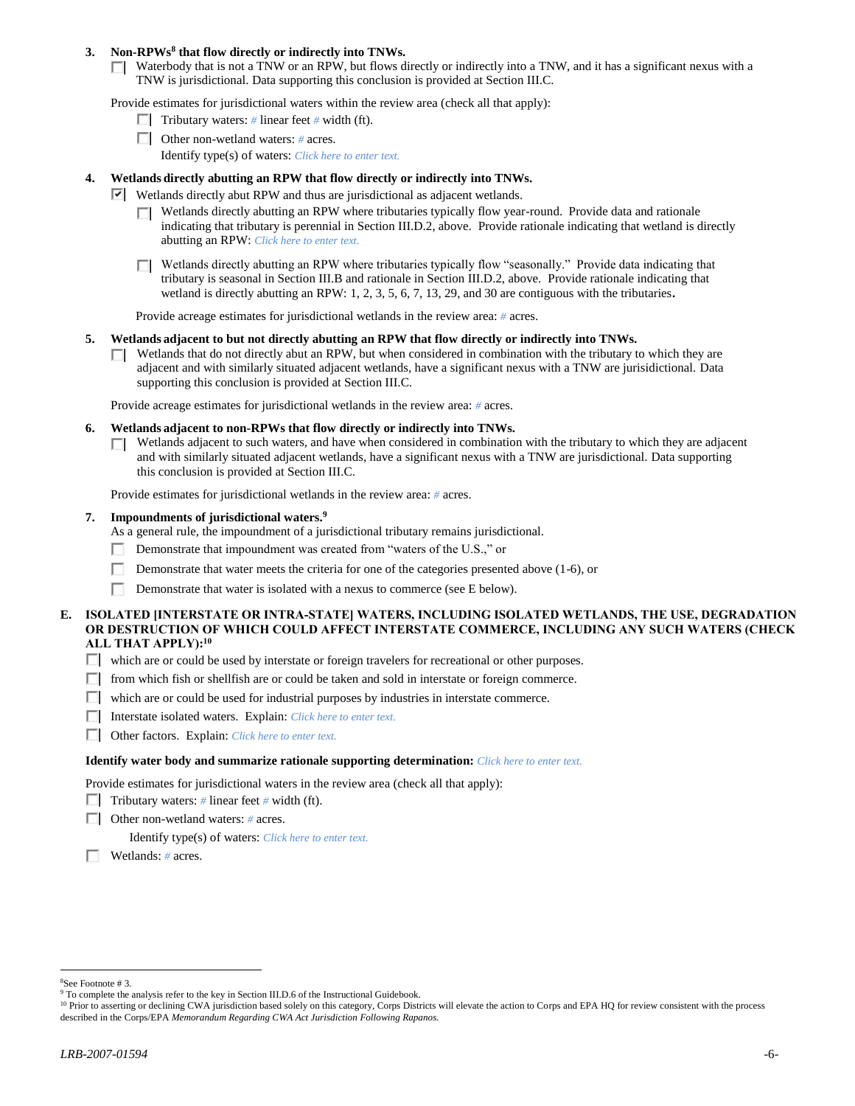## **3. Non-RPWs<sup>8</sup> that flow directly or indirectly into TNWs.**

 $\Box$  Waterbody that is not a TNW or an RPW, but flows directly or indirectly into a TNW, and it has a significant nexus with a TNW is jurisdictional. Data supporting this conclusion is provided at Section III.C.

Provide estimates for jurisdictional waters within the review area (check all that apply):

- **Tributary waters:** # linear feet # width (ft).
- Other non-wetland waters: *#* acres.
	- Identify type(s) of waters: *Click here to enter text.*

## **4. Wetlands directly abutting an RPW that flow directly or indirectly into TNWs.**

- **Wetlands directly abut RPW and thus are jurisdictional as adjacent wetlands.** 
	- $\Box$  Wetlands directly abutting an RPW where tributaries typically flow year-round. Provide data and rationale indicating that tributary is perennial in Section III.D.2, above. Provide rationale indicating that wetland is directly abutting an RPW: *Click here to enter text.*
	- Wetlands directly abutting an RPW where tributaries typically flow "seasonally." Provide data indicating that ПL. tributary is seasonal in Section III.B and rationale in Section III.D.2, above. Provide rationale indicating that wetland is directly abutting an RPW: 1, 2, 3, 5, 6, 7, 13, 29, and 30 are contiguous with the tributaries**.**

Provide acreage estimates for jurisdictional wetlands in the review area: *#* acres.

### **5. Wetlands adjacent to but not directly abutting an RPW that flow directly or indirectly into TNWs.**

 $\Box$  Wetlands that do not directly abut an RPW, but when considered in combination with the tributary to which they are adjacent and with similarly situated adjacent wetlands, have a significant nexus with a TNW are jurisidictional. Data supporting this conclusion is provided at Section III.C.

Provide acreage estimates for jurisdictional wetlands in the review area: *#* acres.

- **6. Wetlands adjacent to non-RPWs that flow directly or indirectly into TNWs.** 
	- Wetlands adjacent to such waters, and have when considered in combination with the tributary to which they are adjacent п. and with similarly situated adjacent wetlands, have a significant nexus with a TNW are jurisdictional. Data supporting this conclusion is provided at Section III.C.

Provide estimates for jurisdictional wetlands in the review area: *#* acres.

## **7. Impoundments of jurisdictional waters. 9**

As a general rule, the impoundment of a jurisdictional tributary remains jurisdictional.

- Demonstrate that impoundment was created from "waters of the U.S.," or
- Demonstrate that water meets the criteria for one of the categories presented above (1-6), or
- г Demonstrate that water is isolated with a nexus to commerce (see E below).

## **E. ISOLATED [INTERSTATE OR INTRA-STATE] WATERS, INCLUDING ISOLATED WETLANDS, THE USE, DEGRADATION OR DESTRUCTION OF WHICH COULD AFFECT INTERSTATE COMMERCE, INCLUDING ANY SUCH WATERS (CHECK ALL THAT APPLY):<sup>10</sup>**

- $\Box$  which are or could be used by interstate or foreign travelers for recreational or other purposes.
- $\Box$  from which fish or shellfish are or could be taken and sold in interstate or foreign commerce.
- $\Box$  which are or could be used for industrial purposes by industries in interstate commerce.
- Interstate isolated waters.Explain: *Click here to enter text.*
- Other factors.Explain: *Click here to enter text.*

#### **Identify water body and summarize rationale supporting determination:** *Click here to enter text.*

Provide estimates for jurisdictional waters in the review area (check all that apply):

- Tributary waters:  $\#$  linear feet  $\#$  width (ft).
- Other non-wetland waters: *#* acres.

Identify type(s) of waters: *Click here to enter text.*

Wetlands: *#* acres.

 $\overline{a}$ 

<sup>8</sup>See Footnote # 3.

<sup>&</sup>lt;sup>9</sup> To complete the analysis refer to the key in Section III.D.6 of the Instructional Guidebook.

<sup>&</sup>lt;sup>10</sup> Prior to asserting or declining CWA jurisdiction based solely on this category, Corps Districts will elevate the action to Corps and EPA HQ for review consistent with the process described in the Corps/EPA *Memorandum Regarding CWA Act Jurisdiction Following Rapanos.*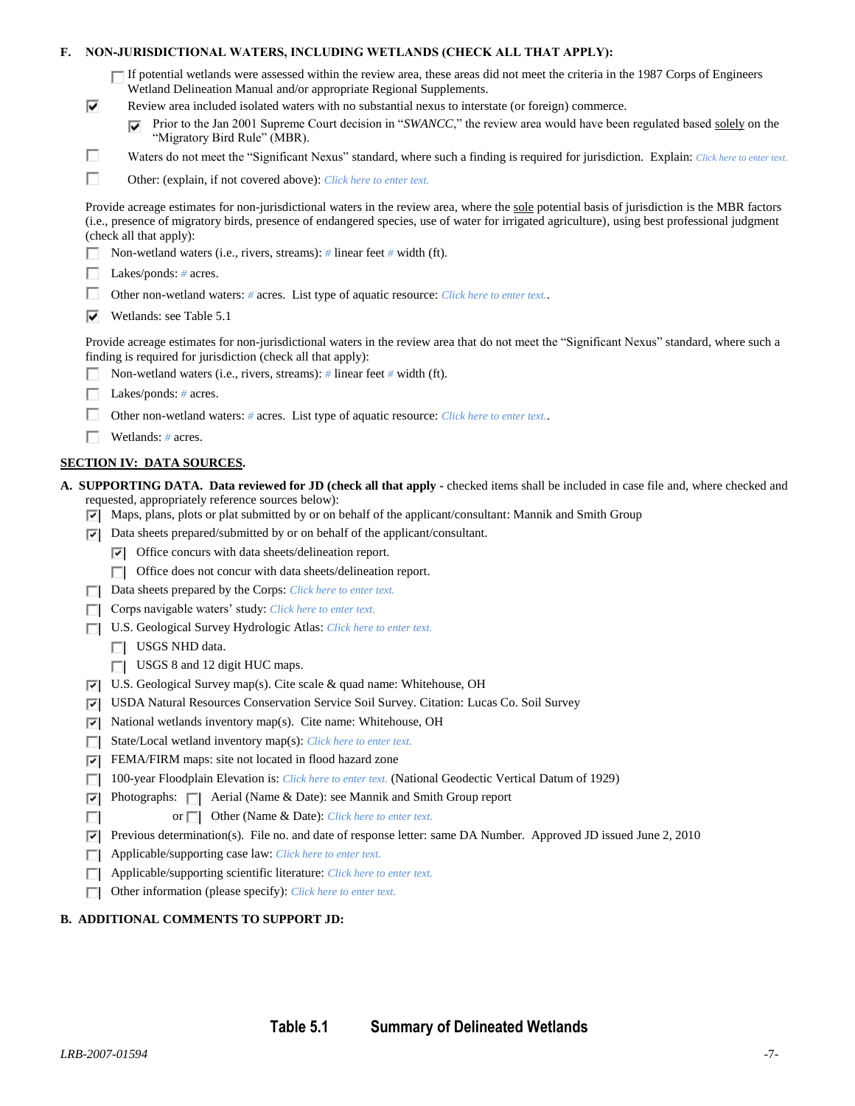# **F. NON-JURISDICTIONAL WATERS, INCLUDING WETLANDS (CHECK ALL THAT APPLY):**

| If potential wetlands were assessed within the review area, these areas did not meet the criteria in the 1987 Corps of Engineers |
|----------------------------------------------------------------------------------------------------------------------------------|
| Wetland Delineation Manual and/or appropriate Regional Supplements.                                                              |

- Review area included isolated waters with no substantial nexus to interstate (or foreign) commerce.
	- Prior to the Jan 2001 Supreme Court decision in "*SWANCC*," the review area would have been regulated based solely on the "Migratory Bird Rule" (MBR).
- Waters do not meet the "Significant Nexus" standard, where such a finding is required for jurisdiction. Explain: Click here to enter text.
- П Other: (explain, if not covered above): *Click here to enter text.*

Provide acreage estimates for non-jurisdictional waters in the review area, where the sole potential basis of jurisdiction is the MBR factors (i.e., presence of migratory birds, presence of endangered species, use of water for irrigated agriculture), using best professional judgment (check all that apply):

- Non-wetland waters (i.e., rivers, streams): *#* linear feet *#* width (ft).
- Lakes/ponds: *#* acres.

H

⊽

п

- п. Other non-wetland waters: *#* acres. List type of aquatic resource: *Click here to enter text.*.
- $\nabla$  Wetlands: see Table 5.1

Provide acreage estimates for non-jurisdictional waters in the review area that do not meet the "Significant Nexus" standard, where such a finding is required for jurisdiction (check all that apply):

- П. Non-wetland waters (i.e., rivers, streams): *#* linear feet *#* width (ft).
- Lakes/ponds: *#* acres.
- П. Other non-wetland waters: *#* acres. List type of aquatic resource: *Click here to enter text.*.
- Wetlands: *#* acres.

## **SECTION IV: DATA SOURCES.**

- **A. SUPPORTING DATA. Data reviewed for JD (check all that apply -** checked items shall be included in case file and, where checked and requested, appropriately reference sources below):
	- $\nabla$  Maps, plans, plots or plat submitted by or on behalf of the applicant/consultant: Mannik and Smith Group
	- $\nabla$  Data sheets prepared/submitted by or on behalf of the applicant/consultant.
		- $\nabla$  Office concurs with data sheets/delineation report.
		- $\Box$  Office does not concur with data sheets/delineation report.
	- Data sheets prepared by the Corps: *Click here to enter text.*
	- Corps navigable waters' study: *Click here to enter text.*
	- U.S. Geological Survey Hydrologic Atlas: *Click here to enter text.*
		- USGS NHD data.
		- USGS 8 and 12 digit HUC maps.
	- U.S. Geological Survey map(s). Cite scale & quad name: Whitehouse, OH
	- USDA Natural Resources Conservation Service Soil Survey. Citation: Lucas Co. Soil Survey
	- $\nabla$  National wetlands inventory map(s). Cite name: Whitehouse, OH
	- State/Local wetland inventory map(s): *Click here to enter text.*
	- FEMA/FIRM maps: site not located in flood hazard zone
	- 100-year Floodplain Elevation is: *Click here to enter text.* (National Geodectic Vertical Datum of 1929)
	- $\nabla$  Photographs:  $\nabla$  Aerial (Name & Date): see Mannik and Smith Group report
		- or  $\Box$  Other (Name & Date): *Click here to enter text.*
	- **Previous determination(s).** File no. and date of response letter: same DA Number. Approved JD issued June 2, 2010
	- Applicable/supporting case law: *Click here to enter text.*
	- Applicable/supporting scientific literature: *Click here to enter text.*
	- Other information (please specify): *Click here to enter text.*  $\Box$

# **B. ADDITIONAL COMMENTS TO SUPPORT JD:**

П